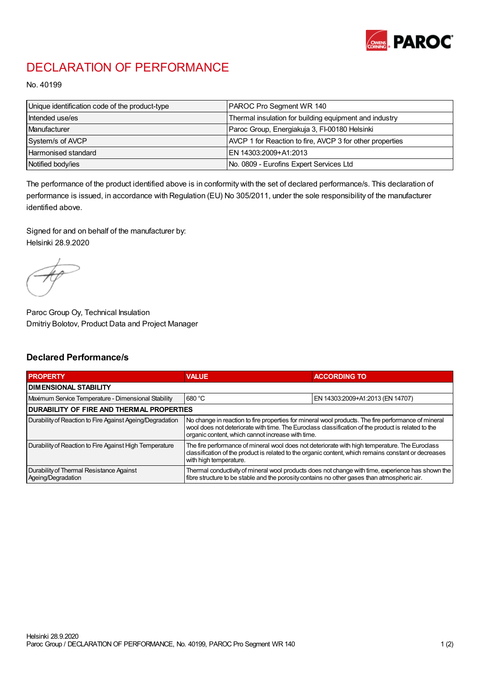

## DECLARATION OF PERFORMANCE

No. 40199

| Unique identification code of the product-type | PAROC Pro Segment WR 140                                 |
|------------------------------------------------|----------------------------------------------------------|
| Intended use/es                                | Thermal insulation for building equipment and industry   |
| Manufacturer                                   | Paroc Group, Energiakuja 3, FI-00180 Helsinki            |
| System/s of AVCP                               | AVCP 1 for Reaction to fire, AVCP 3 for other properties |
| Harmonised standard                            | IEN 14303:2009+A1:2013                                   |
| Notified body/ies                              | No. 0809 - Eurofins Expert Services Ltd                  |

The performance of the product identified above is in conformity with the set of declared performance/s. This declaration of performance is issued, in accordance with Regulation (EU) No 305/2011, under the sole responsibility of the manufacturer identified above.

Signed for and on behalf of the manufacturer by: Helsinki 28.9.2020

Paroc Group Oy, Technical Insulation Dmitriy Bolotov, Product Data and Project Manager

## Declared Performance/s

| <b>PROPERTY</b>                                                | <b>VALUE</b>                                                                                                                                                                                                                                                   | <b>ACCORDING TO.</b>             |  |
|----------------------------------------------------------------|----------------------------------------------------------------------------------------------------------------------------------------------------------------------------------------------------------------------------------------------------------------|----------------------------------|--|
| <b>DIMENSIONAL STABILITY</b>                                   |                                                                                                                                                                                                                                                                |                                  |  |
| Maximum Service Temperature - Dimensional Stability            | 680 °C                                                                                                                                                                                                                                                         | EN 14303:2009+A1:2013 (EN 14707) |  |
| <b>DURABILITY OF FIRE AND THERMAL PROPERTIES</b>               |                                                                                                                                                                                                                                                                |                                  |  |
| Durability of Reaction to Fire Against Ageing/Degradation      | No change in reaction to fire properties for mineral wool products. The fire performance of mineral<br>wool does not deteriorate with time. The Euroclass classification of the product is related to the<br>organic content, which cannot increase with time. |                                  |  |
| Durability of Reaction to Fire Against High Temperature        | The fire performance of mineral wool does not deteriorate with high temperature. The Euroclass<br>classification of the product is related to the organic content, which remains constant or decreases<br>with high temperature.                               |                                  |  |
| Durability of Thermal Resistance Against<br>Ageing/Degradation | Thermal conductivity of mineral wool products does not change with time, experience has shown the<br>fibre structure to be stable and the porosity contains no other gases than atmospheric air.                                                               |                                  |  |